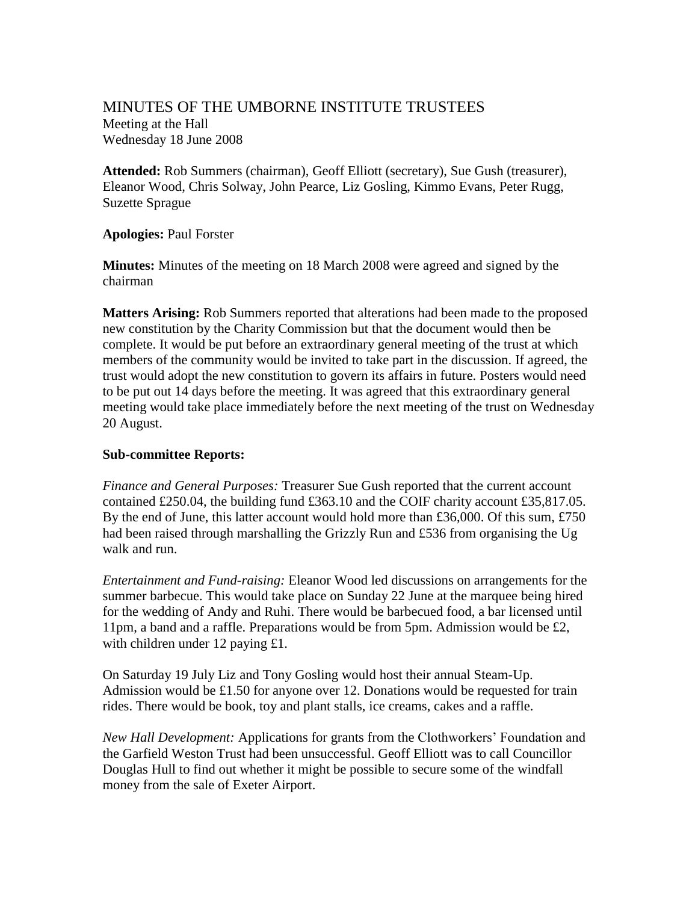## MINUTES OF THE UMBORNE INSTITUTE TRUSTEES Meeting at the Hall Wednesday 18 June 2008

**Attended:** Rob Summers (chairman), Geoff Elliott (secretary), Sue Gush (treasurer), Eleanor Wood, Chris Solway, John Pearce, Liz Gosling, Kimmo Evans, Peter Rugg, Suzette Sprague

## **Apologies:** Paul Forster

**Minutes:** Minutes of the meeting on 18 March 2008 were agreed and signed by the chairman

**Matters Arising:** Rob Summers reported that alterations had been made to the proposed new constitution by the Charity Commission but that the document would then be complete. It would be put before an extraordinary general meeting of the trust at which members of the community would be invited to take part in the discussion. If agreed, the trust would adopt the new constitution to govern its affairs in future. Posters would need to be put out 14 days before the meeting. It was agreed that this extraordinary general meeting would take place immediately before the next meeting of the trust on Wednesday 20 August.

## **Sub-committee Reports:**

*Finance and General Purposes:* Treasurer Sue Gush reported that the current account contained £250.04, the building fund £363.10 and the COIF charity account £35,817.05. By the end of June, this latter account would hold more than £36,000. Of this sum, £750 had been raised through marshalling the Grizzly Run and £536 from organising the Ug walk and run.

*Entertainment and Fund-raising:* Eleanor Wood led discussions on arrangements for the summer barbecue. This would take place on Sunday 22 June at the marquee being hired for the wedding of Andy and Ruhi. There would be barbecued food, a bar licensed until 11pm, a band and a raffle. Preparations would be from 5pm. Admission would be £2, with children under 12 paying £1.

On Saturday 19 July Liz and Tony Gosling would host their annual Steam-Up. Admission would be £1.50 for anyone over 12. Donations would be requested for train rides. There would be book, toy and plant stalls, ice creams, cakes and a raffle.

*New Hall Development:* Applications for grants from the Clothworkers' Foundation and the Garfield Weston Trust had been unsuccessful. Geoff Elliott was to call Councillor Douglas Hull to find out whether it might be possible to secure some of the windfall money from the sale of Exeter Airport.